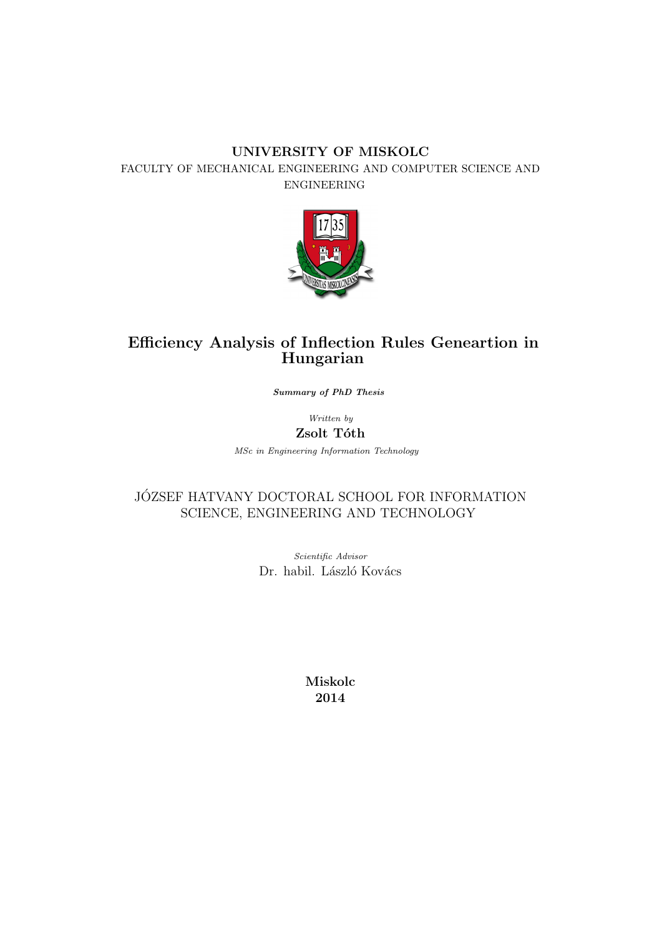#### UNIVERSITY OF MISKOLC FACULTY OF MECHANICAL ENGINEERING AND COMPUTER SCIENCE AND ENGINEERING



## Efficiency Analysis of Inflection Rules Geneartion in Hungarian

Summary of PhD Thesis

Written by Zsolt Tóth

MSc in Engineering Information Technology

### JÓZSEF HATVANY DOCTORAL SCHOOL FOR INFORMATION SCIENCE, ENGINEERING AND TECHNOLOGY

Scientific Advisor Dr. habil. László Kovács

> Miskolc 2014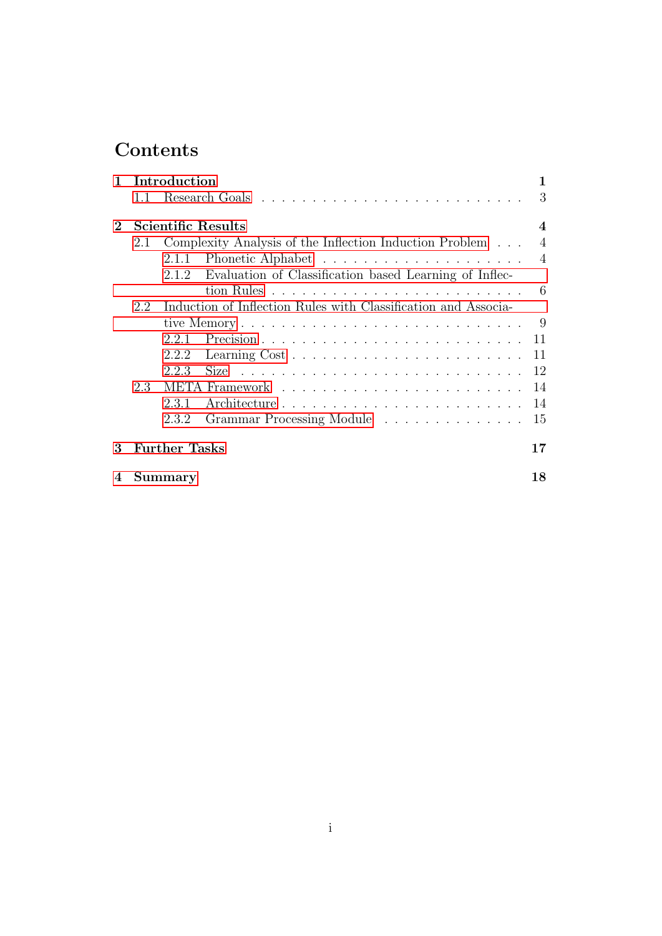# Contents

|                                                                       |     | 1 Introduction                                                                                                                          |                         |  |  |  |  |  |  |
|-----------------------------------------------------------------------|-----|-----------------------------------------------------------------------------------------------------------------------------------------|-------------------------|--|--|--|--|--|--|
|                                                                       | 1.1 |                                                                                                                                         | 3                       |  |  |  |  |  |  |
| $\bf{2}^-$                                                            |     | Scientific Results                                                                                                                      | $\overline{\mathbf{4}}$ |  |  |  |  |  |  |
|                                                                       | 2.1 | Complexity Analysis of the Inflection Induction Problem                                                                                 | $\overline{4}$          |  |  |  |  |  |  |
|                                                                       |     | 2.1.1                                                                                                                                   | $\overline{4}$          |  |  |  |  |  |  |
|                                                                       |     | 2.1.2 Evaluation of Classification based Learning of Inflec-                                                                            |                         |  |  |  |  |  |  |
|                                                                       |     |                                                                                                                                         | - 6                     |  |  |  |  |  |  |
| Induction of Inflection Rules with Classification and Associa-<br>2.2 |     |                                                                                                                                         |                         |  |  |  |  |  |  |
|                                                                       |     |                                                                                                                                         | - 9                     |  |  |  |  |  |  |
|                                                                       |     | 2.2.1                                                                                                                                   | 11                      |  |  |  |  |  |  |
|                                                                       |     | 2.2.2                                                                                                                                   | 11                      |  |  |  |  |  |  |
|                                                                       |     | 2.2.3<br>Size<br><u>. A series a la característica a la característica a la característica a la característica a la característica </u> | 12                      |  |  |  |  |  |  |
|                                                                       | 2.3 |                                                                                                                                         | 14                      |  |  |  |  |  |  |
|                                                                       |     | 2.3.1                                                                                                                                   | 14                      |  |  |  |  |  |  |
|                                                                       |     | Grammar Processing Module<br>2.3.2                                                                                                      | 15                      |  |  |  |  |  |  |
| 3                                                                     |     | <b>Further Tasks</b>                                                                                                                    | 17                      |  |  |  |  |  |  |
| $\mathbf 4$                                                           |     | Summary                                                                                                                                 | 18                      |  |  |  |  |  |  |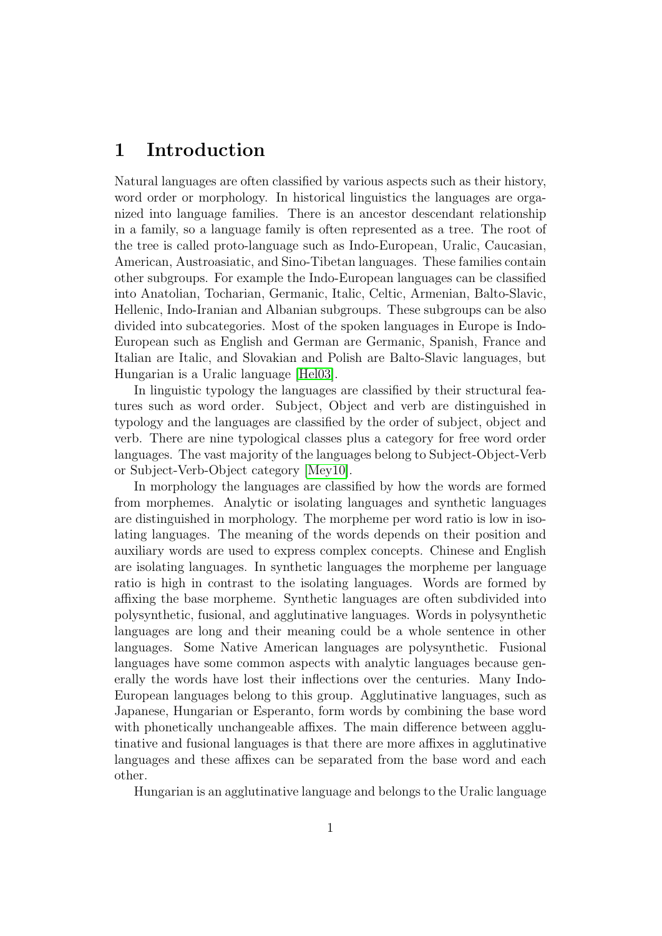# <span id="page-2-0"></span>1 Introduction

Natural languages are often classified by various aspects such as their history, word order or morphology. In historical linguistics the languages are organized into language families. There is an ancestor descendant relationship in a family, so a language family is often represented as a tree. The root of the tree is called proto-language such as Indo-European, Uralic, Caucasian, American, Austroasiatic, and Sino-Tibetan languages. These families contain other subgroups. For example the Indo-European languages can be classified into Anatolian, Tocharian, Germanic, Italic, Celtic, Armenian, Balto-Slavic, Hellenic, Indo-Iranian and Albanian subgroups. These subgroups can be also divided into subcategories. Most of the spoken languages in Europe is Indo-European such as English and German are Germanic, Spanish, France and Italian are Italic, and Slovakian and Polish are Balto-Slavic languages, but Hungarian is a Uralic language [\[Hel03\]](#page-20-0).

In linguistic typology the languages are classified by their structural features such as word order. Subject, Object and verb are distinguished in typology and the languages are classified by the order of subject, object and verb. There are nine typological classes plus a category for free word order languages. The vast majority of the languages belong to Subject-Object-Verb or Subject-Verb-Object category [\[Mey10\]](#page-21-0).

In morphology the languages are classified by how the words are formed from morphemes. Analytic or isolating languages and synthetic languages are distinguished in morphology. The morpheme per word ratio is low in isolating languages. The meaning of the words depends on their position and auxiliary words are used to express complex concepts. Chinese and English are isolating languages. In synthetic languages the morpheme per language ratio is high in contrast to the isolating languages. Words are formed by affixing the base morpheme. Synthetic languages are often subdivided into polysynthetic, fusional, and agglutinative languages. Words in polysynthetic languages are long and their meaning could be a whole sentence in other languages. Some Native American languages are polysynthetic. Fusional languages have some common aspects with analytic languages because generally the words have lost their inflections over the centuries. Many Indo-European languages belong to this group. Agglutinative languages, such as Japanese, Hungarian or Esperanto, form words by combining the base word with phonetically unchangeable affixes. The main difference between agglutinative and fusional languages is that there are more affixes in agglutinative languages and these affixes can be separated from the base word and each other.

Hungarian is an agglutinative language and belongs to the Uralic language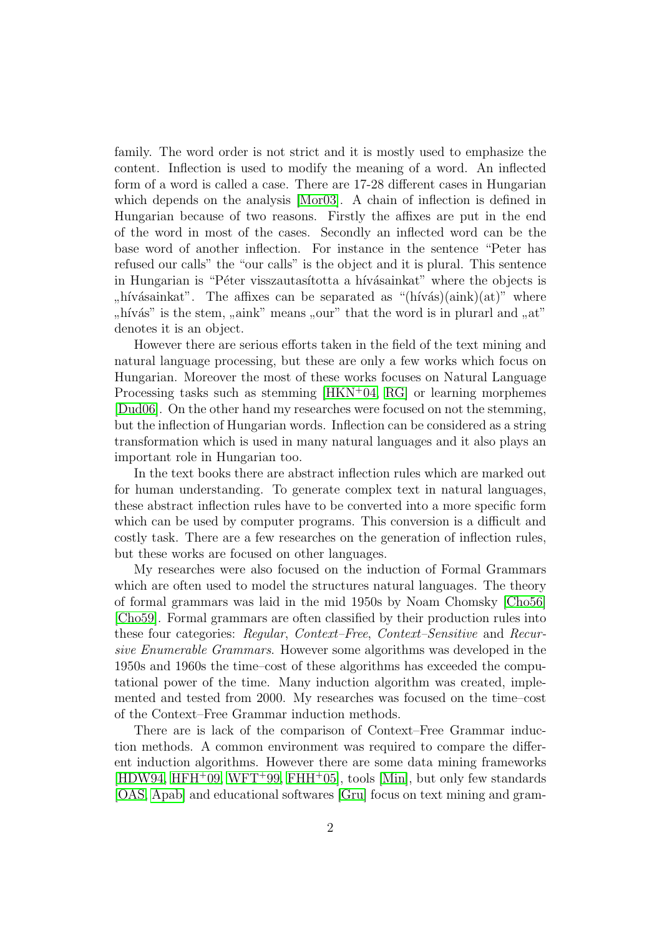family. The word order is not strict and it is mostly used to emphasize the content. Inflection is used to modify the meaning of a word. An inflected form of a word is called a case. There are 17-28 different cases in Hungarian which depends on the analysis [\[Mor03\]](#page-21-1). A chain of inflection is defined in Hungarian because of two reasons. Firstly the affixes are put in the end of the word in most of the cases. Secondly an inflected word can be the base word of another inflection. For instance in the sentence "Peter has refused our calls" the "our calls" is the object and it is plural. This sentence in Hungarian is "Péter visszautasította a hívásainkat" where the objects is ",  $\frac{1}{n}$  hivas,  $\frac{1}{n}$  where<br>"hivas" is the stem, ", aink" means ", our" that the word is in plurarl and ", at" hívásainkat". The affixes can be separated as " $(hivás)(aink)(at)$ " where <sup>"</sup>, ""
denotes it is an object.

However there are serious efforts taken in the field of the text mining and natural language processing, but these are only a few works which focus on Hungarian. Moreover the most of these works focuses on Natural Language Processing tasks such as stemming  $[HKN+04, RG]$  $[HKN+04, RG]$  $[HKN+04, RG]$  or learning morphemes [\[Dud06\]](#page-20-1). On the other hand my researches were focused on not the stemming, but the inflection of Hungarian words. Inflection can be considered as a string transformation which is used in many natural languages and it also plays an important role in Hungarian too.

In the text books there are abstract inflection rules which are marked out for human understanding. To generate complex text in natural languages, these abstract inflection rules have to be converted into a more specific form which can be used by computer programs. This conversion is a difficult and costly task. There are a few researches on the generation of inflection rules, but these works are focused on other languages.

My researches were also focused on the induction of Formal Grammars which are often used to model the structures natural languages. The theory of formal grammars was laid in the mid 1950s by Noam Chomsky [\[Cho56\]](#page-20-2) [\[Cho59\]](#page-20-3). Formal grammars are often classified by their production rules into these four categories: Regular, Context–Free, Context–Sensitive and Recursive Enumerable Grammars. However some algorithms was developed in the 1950s and 1960s the time–cost of these algorithms has exceeded the computational power of the time. Many induction algorithm was created, implemented and tested from 2000. My researches was focused on the time–cost of the Context–Free Grammar induction methods.

There are is lack of the comparison of Context–Free Grammar induction methods. A common environment was required to compare the different induction algorithms. However there are some data mining frameworks  $[HDW94, HFH<sup>+</sup>09, WFT<sup>+</sup>99, FHH<sup>+</sup>05], tools [Min], but only few standards$  $[HDW94, HFH<sup>+</sup>09, WFT<sup>+</sup>99, FHH<sup>+</sup>05], tools [Min], but only few standards$  $[HDW94, HFH<sup>+</sup>09, WFT<sup>+</sup>99, FHH<sup>+</sup>05], tools [Min], but only few standards$  $[HDW94, HFH<sup>+</sup>09, WFT<sup>+</sup>99, FHH<sup>+</sup>05], tools [Min], but only few standards$  $[HDW94, HFH<sup>+</sup>09, WFT<sup>+</sup>99, FHH<sup>+</sup>05], tools [Min], but only few standards$  $[HDW94, HFH<sup>+</sup>09, WFT<sup>+</sup>99, FHH<sup>+</sup>05], tools [Min], but only few standards$  $[HDW94, HFH<sup>+</sup>09, WFT<sup>+</sup>99, FHH<sup>+</sup>05], tools [Min], but only few standards$  $[HDW94, HFH<sup>+</sup>09, WFT<sup>+</sup>99, FHH<sup>+</sup>05], tools [Min], but only few standards$  $[HDW94, HFH<sup>+</sup>09, WFT<sup>+</sup>99, FHH<sup>+</sup>05], tools [Min], but only few standards$ [\[OAS,](#page-21-6) [Apab\]](#page-20-6) and educational softwares [\[Gru\]](#page-20-7) focus on text mining and gram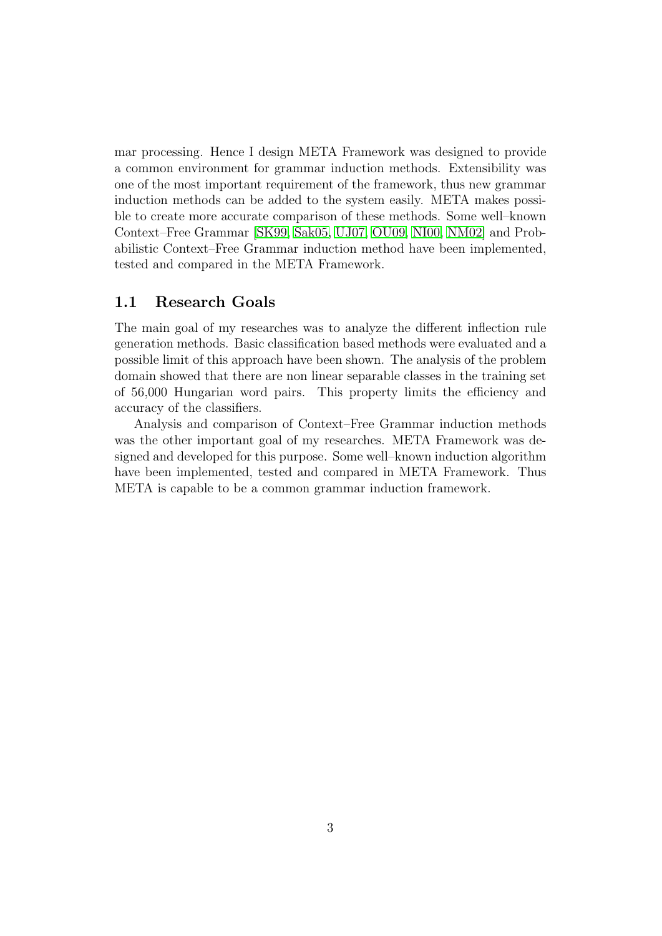mar processing. Hence I design META Framework was designed to provide a common environment for grammar induction methods. Extensibility was one of the most important requirement of the framework, thus new grammar induction methods can be added to the system easily. META makes possible to create more accurate comparison of these methods. Some well–known Context–Free Grammar [\[SK99,](#page-22-1) [Sak05,](#page-21-7) [UJ07,](#page-22-2) [OU09,](#page-21-8) [NI00,](#page-21-9) [NM02\]](#page-21-10) and Probabilistic Context–Free Grammar induction method have been implemented, tested and compared in the META Framework.

### <span id="page-4-0"></span>1.1 Research Goals

The main goal of my researches was to analyze the different inflection rule generation methods. Basic classification based methods were evaluated and a possible limit of this approach have been shown. The analysis of the problem domain showed that there are non linear separable classes in the training set of 56,000 Hungarian word pairs. This property limits the efficiency and accuracy of the classifiers.

Analysis and comparison of Context–Free Grammar induction methods was the other important goal of my researches. META Framework was designed and developed for this purpose. Some well–known induction algorithm have been implemented, tested and compared in META Framework. Thus META is capable to be a common grammar induction framework.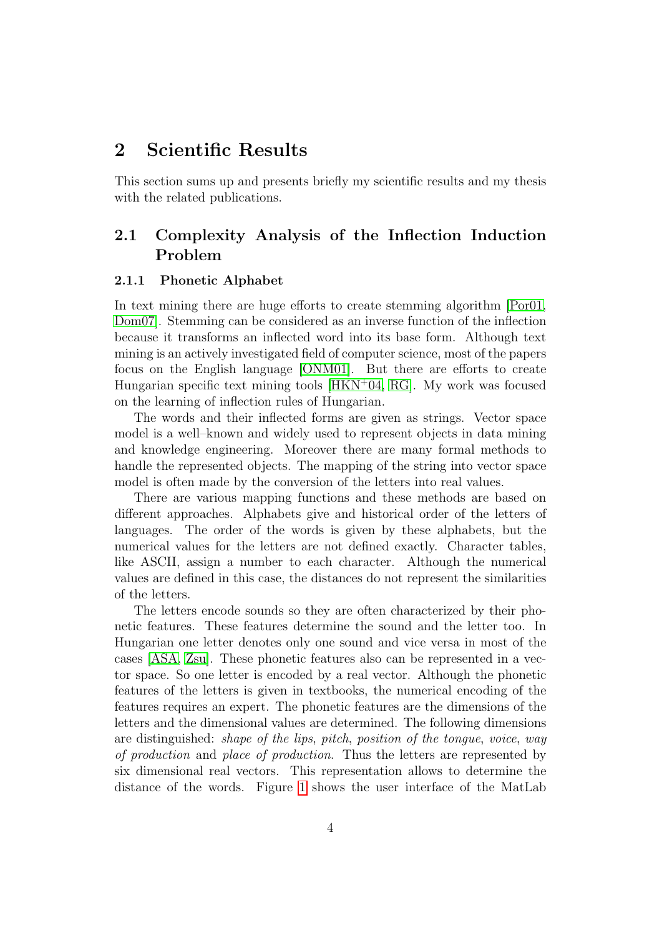## <span id="page-5-0"></span>2 Scientific Results

This section sums up and presents briefly my scientific results and my thesis with the related publications.

### <span id="page-5-1"></span>2.1 Complexity Analysis of the Inflection Induction Problem

#### <span id="page-5-2"></span>2.1.1 Phonetic Alphabet

In text mining there are huge efforts to create stemming algorithm [\[Por01,](#page-21-11) [Dom07\]](#page-20-8). Stemming can be considered as an inverse function of the inflection because it transforms an inflected word into its base form. Although text mining is an actively investigated field of computer science, most of the papers focus on the English language [\[ONM01\]](#page-21-12). But there are efforts to create Hungarian specific text mining tools  $[HKN+04, RG]$  $[HKN+04, RG]$  $[HKN+04, RG]$ . My work was focused on the learning of inflection rules of Hungarian.

The words and their inflected forms are given as strings. Vector space model is a well–known and widely used to represent objects in data mining and knowledge engineering. Moreover there are many formal methods to handle the represented objects. The mapping of the string into vector space model is often made by the conversion of the letters into real values.

There are various mapping functions and these methods are based on different approaches. Alphabets give and historical order of the letters of languages. The order of the words is given by these alphabets, but the numerical values for the letters are not defined exactly. Character tables, like ASCII, assign a number to each character. Although the numerical values are defined in this case, the distances do not represent the similarities of the letters.

The letters encode sounds so they are often characterized by their phonetic features. These features determine the sound and the letter too. In Hungarian one letter denotes only one sound and vice versa in most of the cases [\[ASA,](#page-20-9) [Zsu\]](#page-22-3). These phonetic features also can be represented in a vector space. So one letter is encoded by a real vector. Although the phonetic features of the letters is given in textbooks, the numerical encoding of the features requires an expert. The phonetic features are the dimensions of the letters and the dimensional values are determined. The following dimensions are distinguished: shape of the lips, pitch, position of the tongue, voice, way of production and place of production. Thus the letters are represented by six dimensional real vectors. This representation allows to determine the distance of the words. Figure [1](#page-6-0) shows the user interface of the MatLab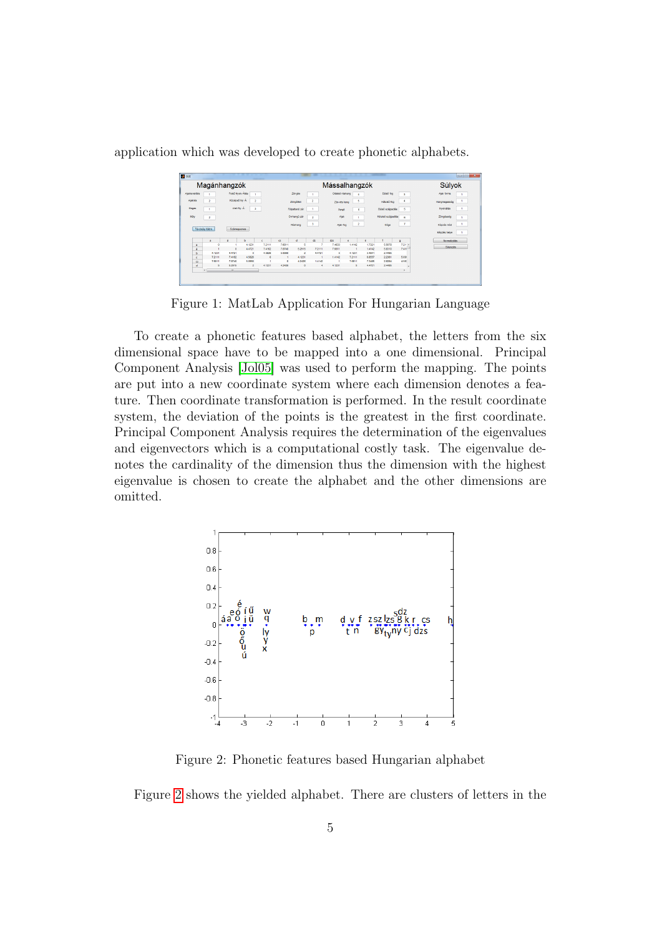<span id="page-6-0"></span>application which was developed to create phonetic alphabets.

| Magánhangzók              |                |                                  |                          |        | Mássalhangzók  |                |                                |            |                |                  | Súlyok             |                 |              |
|---------------------------|----------------|----------------------------------|--------------------------|--------|----------------|----------------|--------------------------------|------------|----------------|------------------|--------------------|-----------------|--------------|
| Ajakkerekbés              |                | Felső Nyelv Álás                 |                          |        | Zongés         |                | Oldalsó résharg                |            |                | Ekiső feg        | ٨                  | Ajak forma      |              |
| Ajakrés<br>$\overline{2}$ |                | Középső Ny. A.<br>$\overline{a}$ |                          |        | Zongétien      | $\mathbf{2}$   | Zár-rés hang                   | s          |                | Hátulsó fog      | 4                  | Hangmagasság    |              |
| Magas                     |                | Alsó Ny. A.<br>s                 |                          |        | Fölgettanó zár |                | Pergő                          | $\epsilon$ |                | EEM6 szájpadás   | s                  | Nyelválás<br>л. |              |
| Mély                      | $\overline{a}$ |                                  |                          |        |                | Orrhangů zár   | $\overline{a}$                 | Ajak       |                |                  | Hátulsó szájpadlás | 8               | Zöngésség    |
|                           |                |                                  |                          |        |                |                |                                |            |                |                  |                    |                 |              |
|                           |                |                                  |                          |        |                | Réshang        | s.                             | Ajak-fog   | $\overline{z}$ |                  | Gége               | Ŧ.              | Kéozés mód   |
| Távolság Mátrix           |                | Számegyenes                      |                          |        |                |                |                                |            |                |                  |                    |                 | Képzés helye |
|                           | $\cdot$        |                                  | ь                        | c.     | $\mathbf{c}$   | $\mathbf d$    | dz                             | dzs        | ٠              |                  |                    | q.              | Normalizálás |
| $\Delta$                  | ø              |                                  | 4.1231                   | 7.2111 | 7.6811         |                |                                | 7,4833     | 1,4142         | 1.7321           | 5.5678             | $7.21 - 4.$     |              |
| $\mathbf{A}$              |                | ó                                | 4,4721                   | 7.4182 | 7.8740         | 5.2915         | 7.2111                         | 7.6811     |                | 1.4142           | 5.8310             | $7.410 -$       | Súlyozás     |
| b                         | 4.1231         | 4,4721                           | ٥                        | 4,5826 | 5.0990         | $\overline{2}$ | 4.4721                         | 5          | 4.1231         | 3,4841           | 2,4495             |                 |              |
| $\epsilon$                | 7.2111         | 7.4162                           | 4.5826                   | ۰      |                | 4.1231         |                                | 1.4142     | 7.2111         | 6.8557           | 2.2381             | 5.095           |              |
| $\alpha$<br>$\mathbf d$   | 7,6811<br>s    | 7.8740<br>5.2915                 | 5,0990<br>$\overline{2}$ | 4.1231 | ۰<br>4.2426    | 42426<br>۰     | 1.4142<br>$\ddot{\phantom{1}}$ | 4.1231     | 7,6811<br>5    | 7.3485<br>4.4721 | 28284<br>2.4495    | 4.583           |              |

Figure 1: MatLab Application For Hungarian Language

To create a phonetic features based alphabet, the letters from the six dimensional space have to be mapped into a one dimensional. Principal Component Analysis [\[Jol05\]](#page-21-13) was used to perform the mapping. The points are put into a new coordinate system where each dimension denotes a feature. Then coordinate transformation is performed. In the result coordinate system, the deviation of the points is the greatest in the first coordinate. Principal Component Analysis requires the determination of the eigenvalues and eigenvectors which is a computational costly task. The eigenvalue denotes the cardinality of the dimension thus the dimension with the highest eigenvalue is chosen to create the alphabet and the other dimensions are omitted.

<span id="page-6-1"></span>

Figure 2: Phonetic features based Hungarian alphabet

Figure [2](#page-6-1) shows the yielded alphabet. There are clusters of letters in the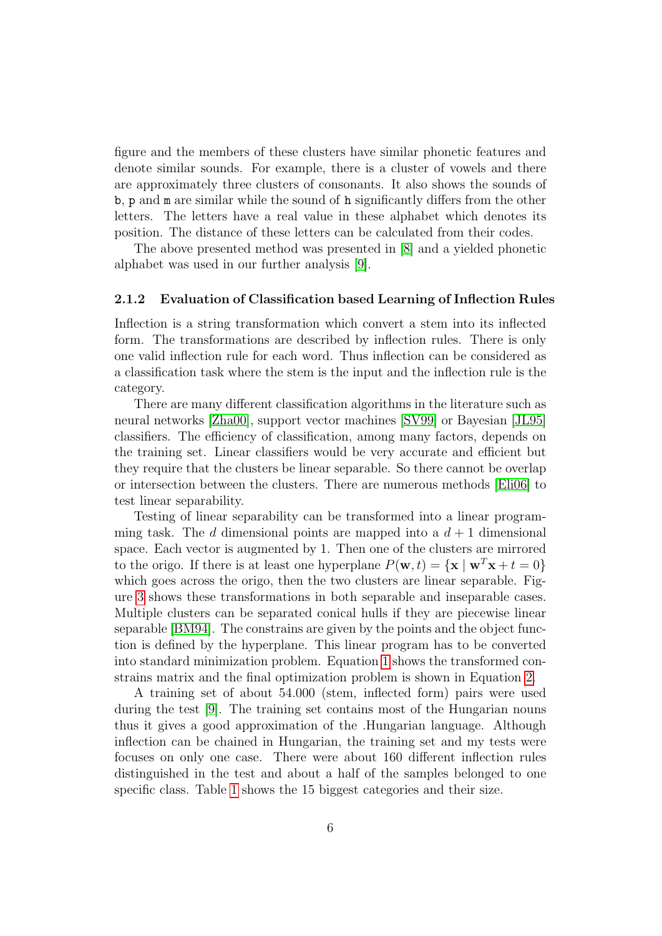figure and the members of these clusters have similar phonetic features and denote similar sounds. For example, there is a cluster of vowels and there are approximately three clusters of consonants. It also shows the sounds of b, p and m are similar while the sound of h significantly differs from the other letters. The letters have a real value in these alphabet which denotes its position. The distance of these letters can be calculated from their codes.

The above presented method was presented in [\[8\]](#page-23-0) and a yielded phonetic alphabet was used in our further analysis [\[9\]](#page-23-1).

#### <span id="page-7-0"></span>2.1.2 Evaluation of Classification based Learning of Inflection Rules

Inflection is a string transformation which convert a stem into its inflected form. The transformations are described by inflection rules. There is only one valid inflection rule for each word. Thus inflection can be considered as a classification task where the stem is the input and the inflection rule is the category.

There are many different classification algorithms in the literature such as neural networks [\[Zha00\]](#page-22-4), support vector machines [\[SV99\]](#page-22-5) or Bayesian [\[JL95\]](#page-21-14) classifiers. The efficiency of classification, among many factors, depends on the training set. Linear classifiers would be very accurate and efficient but they require that the clusters be linear separable. So there cannot be overlap or intersection between the clusters. There are numerous methods [\[Eli06\]](#page-20-10) to test linear separability.

Testing of linear separability can be transformed into a linear programming task. The d dimensional points are mapped into a  $d+1$  dimensional space. Each vector is augmented by 1. Then one of the clusters are mirrored to the origo. If there is at least one hyperplane  $P(\mathbf{w}, t) = {\mathbf{x} \mid \mathbf{w}^T \mathbf{x} + t = 0}$ which goes across the origo, then the two clusters are linear separable. Figure [3](#page-8-0) shows these transformations in both separable and inseparable cases. Multiple clusters can be separated conical hulls if they are piecewise linear separable [\[BM94\]](#page-20-11). The constrains are given by the points and the object function is defined by the hyperplane. This linear program has to be converted into standard minimization problem. Equation [1](#page-8-1) shows the transformed constrains matrix and the final optimization problem is shown in Equation [2.](#page-8-2)

A training set of about 54.000 (stem, inflected form) pairs were used during the test [\[9\]](#page-23-1). The training set contains most of the Hungarian nouns thus it gives a good approximation of the .Hungarian language. Although inflection can be chained in Hungarian, the training set and my tests were focuses on only one case. There were about 160 different inflection rules distinguished in the test and about a half of the samples belonged to one specific class. Table [1](#page-9-0) shows the 15 biggest categories and their size.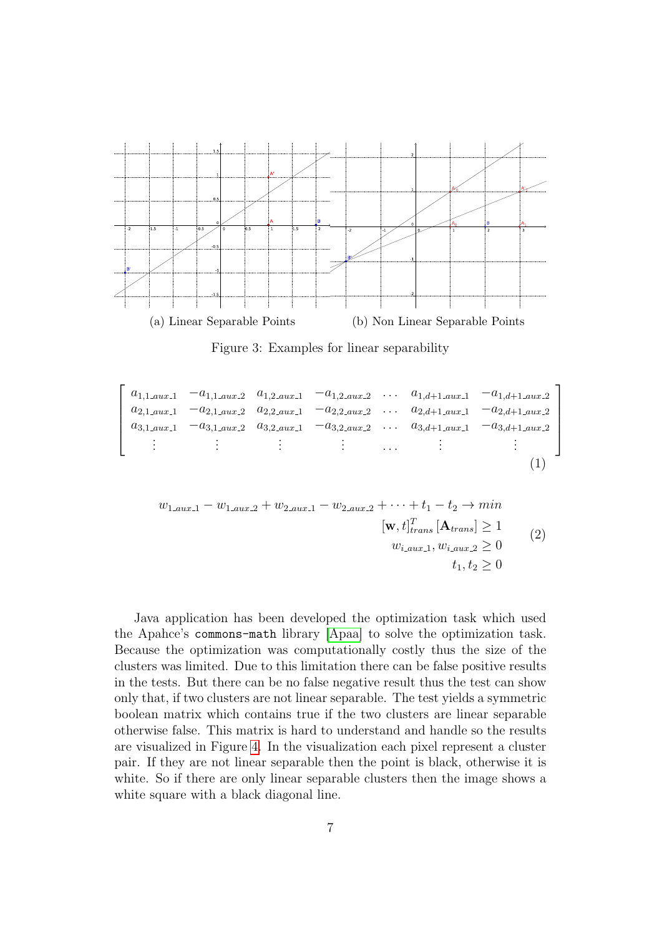<span id="page-8-0"></span>

<span id="page-8-2"></span>Figure 3: Examples for linear separability

```
\sqrt{ }\overline{\phantom{a}}\overline{\phantom{a}}\overline{1}\overline{\phantom{a}}a_{1,1. aux1} -a<sub>1,1.aux</sub> a_{1,2. aux1} -a<sub>1,2.aux</sub> ... a_{1,d+1. aux1} -a<sub>1,d+1</sub>.aux<sub>2</sub>
    a_{2,1_aux1} -a_{2,1_aux2} a_{2,2_aux1} -a_{2,2_aux2} ... a_{2,d+1_aux1} -a_{2,d+1_aux2}a_{3,1. aux1} -a<sub>3,1.aux</sub> a_{3,2. aux1} -a<sub>3,2.aux</sub> ... a_{3,d+1. aux1} -a<sub>3,d+1</sub>.aux 2
            .
            .
            .
                                  .
.
.
                                                        .
                                                        .
                                                        .
                                                                              .
.
                                                                                            . . . .
                                                                                                                 .
.
.
                                                                                                                                           .
.
.
                                                                                                                                                          1
                                                                                                                                                          \overline{1}\overline{1}\vert\overline{1}(1)
```

$$
w_{1,aux,1} - w_{1,aux,2} + w_{2,aux,1} - w_{2,aux,2} + \cdots + t_1 - t_2 \to min
$$
  
\n
$$
[\mathbf{w}, t]_{trans}^T [\mathbf{A}_{trans}] \ge 1
$$
  
\n
$$
w_{i,aux,1}, w_{i,aux,2} \ge 0
$$
  
\n
$$
t_1, t_2 \ge 0
$$
\n(2)

Java application has been developed the optimization task which used the Apahce's commons-math library [\[Apaa\]](#page-20-12) to solve the optimization task. Because the optimization was computationally costly thus the size of the clusters was limited. Due to this limitation there can be false positive results in the tests. But there can be no false negative result thus the test can show only that, if two clusters are not linear separable. The test yields a symmetric boolean matrix which contains true if the two clusters are linear separable otherwise false. This matrix is hard to understand and handle so the results are visualized in Figure [4.](#page-9-1) In the visualization each pixel represent a cluster pair. If they are not linear separable then the point is black, otherwise it is white. So if there are only linear separable clusters then the image shows a white square with a black diagonal line.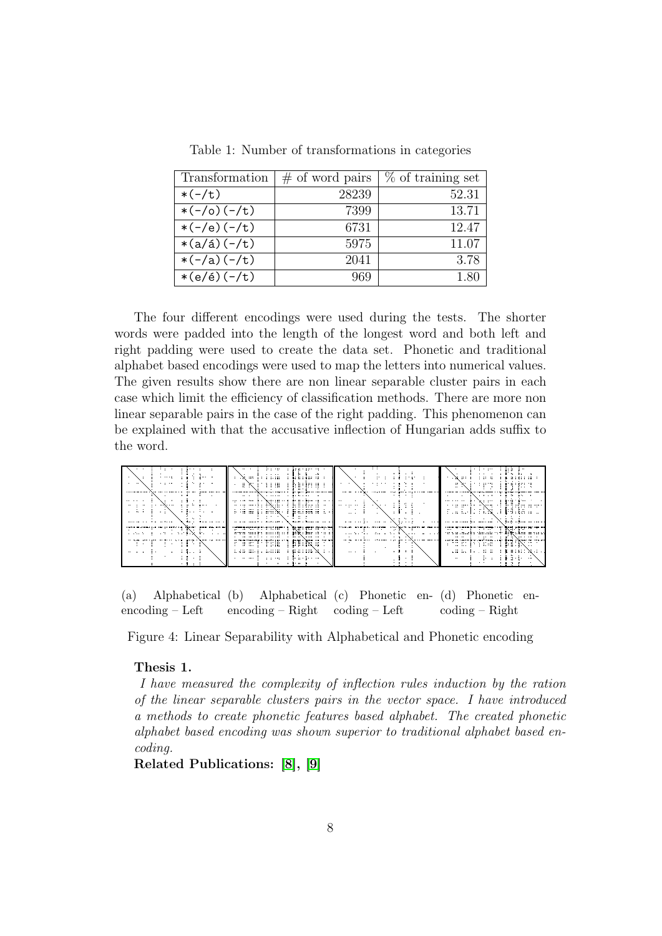<span id="page-9-0"></span>

| Transformation         | $\#$ of word pairs | % of training set |
|------------------------|--------------------|-------------------|
| $*(-/t)$               | 28239              | 52.31             |
| $*(-/0)(-/t)$          | 7399               | 13.71             |
| $*(-/e) (-/t)$         | 6731               | 12.47             |
| $*(a/\acute{a}) (-/t)$ | 5975               | 11.07             |
| $*(-/a)(-/t)$          | 2041               | 3.78              |
| $*(e/é)(-/t)$          | 969                | 1.80              |

Table 1: Number of transformations in categories

The four different encodings were used during the tests. The shorter words were padded into the length of the longest word and both left and right padding were used to create the data set. Phonetic and traditional alphabet based encodings were used to map the letters into numerical values. The given results show there are non linear separable cluster pairs in each case which limit the efficiency of classification methods. There are more non linear separable pairs in the case of the right padding. This phenomenon can be explained with that the accusative inflection of Hungarian adds suffix to the word.

<span id="page-9-1"></span>

| .<br>.<br>.<br>$\sim$ $\sim$<br>.<br>$\sim$                                                                                                                                                                                                                                                                         | . .<br>and the<br>and there is a<br>.<br>a kata isa na<br>.<br>.<br>.<br>.<br>.<br>.<br>.<br>.                                                                                                                                                                                                                                                                                                                                                                                                                                                                                                                                                  | $\sim$<br>.<br>.<br>$\cdots$<br>.<br>$\sim$<br>$ = -1$                                                                                | <br><br>$\cdots$<br>$+36.011$<br>.<br>.<br>.<br>ar North Contractor<br><b>ALLES ESTATE</b><br>$\sim$ $\sim$ $\sim$ $\sim$<br>$\cdots$<br>. .<br>.                                                                                                                                                                                                                                                                     |
|---------------------------------------------------------------------------------------------------------------------------------------------------------------------------------------------------------------------------------------------------------------------------------------------------------------------|-------------------------------------------------------------------------------------------------------------------------------------------------------------------------------------------------------------------------------------------------------------------------------------------------------------------------------------------------------------------------------------------------------------------------------------------------------------------------------------------------------------------------------------------------------------------------------------------------------------------------------------------------|---------------------------------------------------------------------------------------------------------------------------------------|-----------------------------------------------------------------------------------------------------------------------------------------------------------------------------------------------------------------------------------------------------------------------------------------------------------------------------------------------------------------------------------------------------------------------|
| . .<br>$\sim$<br>.<br>.<br>.<br>$\cdots$<br>$\sim$ $\sim$ $\sim$<br>.<br>$-$<br>.                                                                                                                                                                                                                                   | ang mang ting di sa Mangkatang Manang di Pangalang San Kal<br>in the measure with the common of the first measure of the<br>.<br>. .<br>a manara Santa Cal<br><b>PLAIN BUR 14</b><br>.<br>.<br>.<br>.<br>.<br>- -- -<br>the state for the contract of the state of the<br>the state of the state of the state of the state of the state of the state of the state of the state of the state of the state of the state of the state of the state of the state of the state of the state of the state of t                                                                                                                                        | .<br>.<br>.<br>.<br>.<br>. .<br>.<br>.<br>.<br>.                                                                                      | the second contract of the second contract of the second contract of the second of the second of the second of<br>.<br>.<br>$1 + 1 - 1$<br>$\sim$<br>.<br>. .<br>diti status un<br>described in the control of the second service of the second service of the service of the service of the service of the service of the service of the service of the service of the service of the service of the service of<br>. |
| тала менен тапы таларууга басаг ада жана ка<br>.<br>.<br>the same special company is the same of the same of the same conditions of the same conditions of the same of the same of the same of the same of the same of the same of the same of the same of the same of the same of the<br>. .<br>.<br>.<br>$\cdots$ | 1980 BALLARD L. BLUE LIBE L. B<br>.<br>$-20.41 + 2.02 + 12 - 12$<br>$1.124 \cdot 1.004$<br>.<br>a component and component to the contract of the component of the component of the component of the component of the component of the component of the component of the component of the component of the component of the com<br>as the more service in the state and the more<br>dance change on the net<br>.<br>$\mathbf{F}$ : Hi : Exp. : $\mathbf{r}$<br>.<br>$\cdots$<br>.<br>at it is a company of the<br>.<br><b>CONTRACTOR</b><br>.<br>.<br><br>have a serve the control<br><b>A 7 OF SEC 1</b><br>.<br>1.1.17<br>. <b>.</b><br>-<br>. | יותו בשמש המשפט המוסיס שהוא מיוחד במוסיק של המשפט של המוסיק של היה משפט היה היה היה מוסיק של היה מוסיק.<br>.<br>.<br>.<br>.<br>$\sim$ | $\cdots$<br>.<br>$\overline{a}$ . $\overline{a}$ . $\overline{a}$ . $\overline{a}$<br>$- - - - - - -$<br>$\sim$<br><br>$-$<br>the contract of the Company and the<br>a serve an a compared to the compared of the property of the property of the property<br>.<br>The Reference of the Property and<br>.<br>. .<br>.<br>$\cdots$ is in a finite section of $\cdots$<br>$    -$<br>к нама № арыд<br>.<br><br>$\cdots$ |

(a) Alphabetical encoding – Left (b) Alphabetical (c) Phonetic en-(d) Phonetic enencoding – Right coding – Left coding – Right

Figure 4: Linear Separability with Alphabetical and Phonetic encoding

#### Thesis 1.

I have measured the complexity of inflection rules induction by the ration of the linear separable clusters pairs in the vector space. I have introduced a methods to create phonetic features based alphabet. The created phonetic alphabet based encoding was shown superior to traditional alphabet based encoding.

Related Publications: [\[8\]](#page-23-0), [\[9\]](#page-23-1)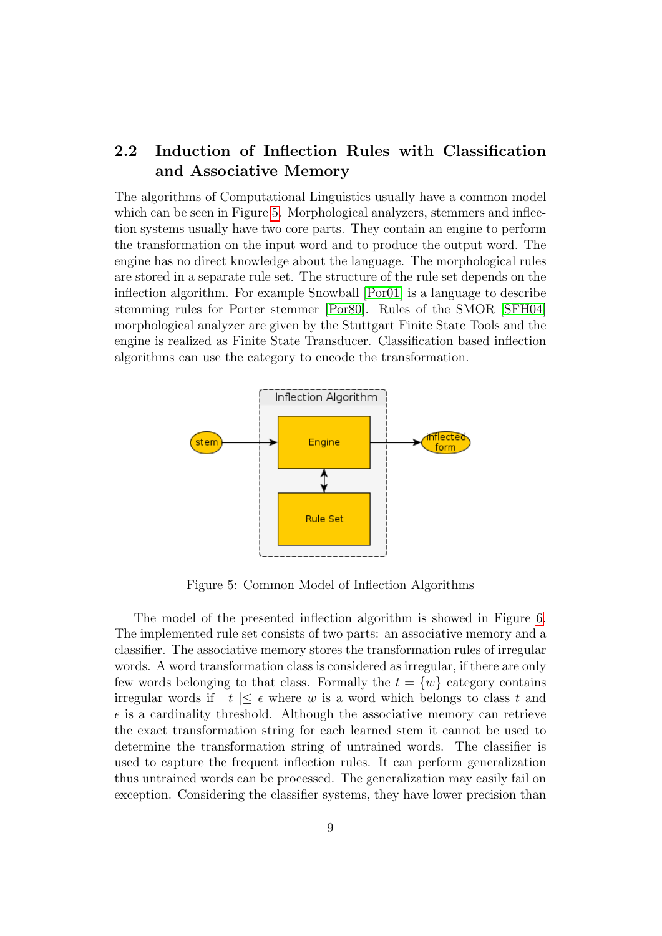### <span id="page-10-0"></span>2.2 Induction of Inflection Rules with Classification and Associative Memory

The algorithms of Computational Linguistics usually have a common model which can be seen in Figure [5.](#page-10-1) Morphological analyzers, stemmers and inflection systems usually have two core parts. They contain an engine to perform the transformation on the input word and to produce the output word. The engine has no direct knowledge about the language. The morphological rules are stored in a separate rule set. The structure of the rule set depends on the inflection algorithm. For example Snowball [\[Por01\]](#page-21-11) is a language to describe stemming rules for Porter stemmer [\[Por80\]](#page-21-15). Rules of the SMOR [\[SFH04\]](#page-21-16) morphological analyzer are given by the Stuttgart Finite State Tools and the engine is realized as Finite State Transducer. Classification based inflection algorithms can use the category to encode the transformation.

<span id="page-10-1"></span>

Figure 5: Common Model of Inflection Algorithms

The model of the presented inflection algorithm is showed in Figure [6.](#page-11-0) The implemented rule set consists of two parts: an associative memory and a classifier. The associative memory stores the transformation rules of irregular words. A word transformation class is considered as irregular, if there are only few words belonging to that class. Formally the  $t = \{w\}$  category contains irregular words if  $|t| < \epsilon$  where w is a word which belongs to class t and  $\epsilon$  is a cardinality threshold. Although the associative memory can retrieve the exact transformation string for each learned stem it cannot be used to determine the transformation string of untrained words. The classifier is used to capture the frequent inflection rules. It can perform generalization thus untrained words can be processed. The generalization may easily fail on exception. Considering the classifier systems, they have lower precision than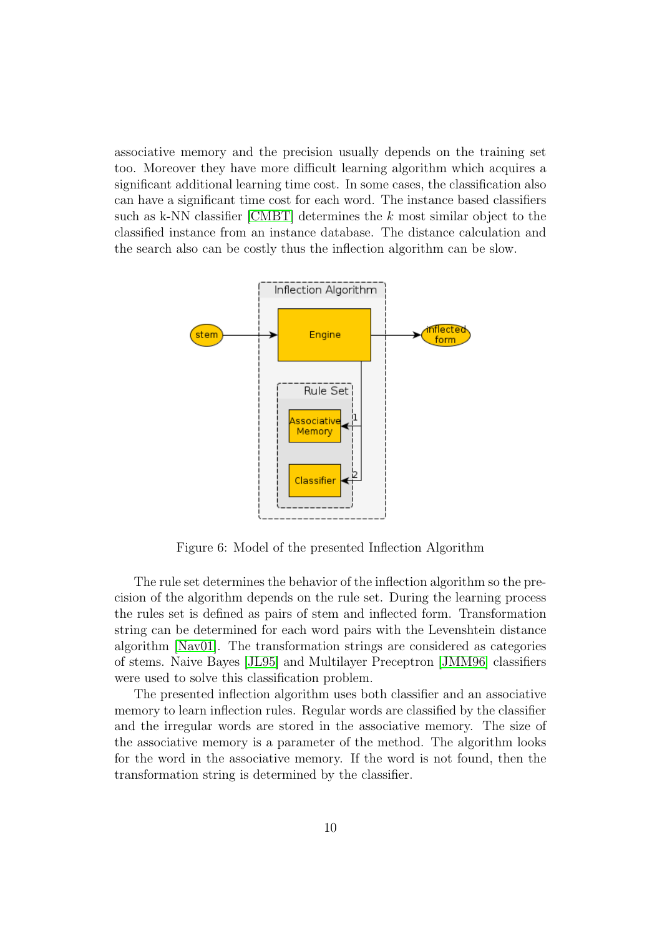associative memory and the precision usually depends on the training set too. Moreover they have more difficult learning algorithm which acquires a significant additional learning time cost. In some cases, the classification also can have a significant time cost for each word. The instance based classifiers such as k-NN classifier [\[CMBT\]](#page-20-13) determines the  $k$  most similar object to the classified instance from an instance database. The distance calculation and the search also can be costly thus the inflection algorithm can be slow.

<span id="page-11-0"></span>

Figure 6: Model of the presented Inflection Algorithm

The rule set determines the behavior of the inflection algorithm so the precision of the algorithm depends on the rule set. During the learning process the rules set is defined as pairs of stem and inflected form. Transformation string can be determined for each word pairs with the Levenshtein distance algorithm [\[Nav01\]](#page-21-17). The transformation strings are considered as categories of stems. Naive Bayes [\[JL95\]](#page-21-14) and Multilayer Preceptron [\[JMM96\]](#page-21-18) classifiers were used to solve this classification problem.

The presented inflection algorithm uses both classifier and an associative memory to learn inflection rules. Regular words are classified by the classifier and the irregular words are stored in the associative memory. The size of the associative memory is a parameter of the method. The algorithm looks for the word in the associative memory. If the word is not found, then the transformation string is determined by the classifier.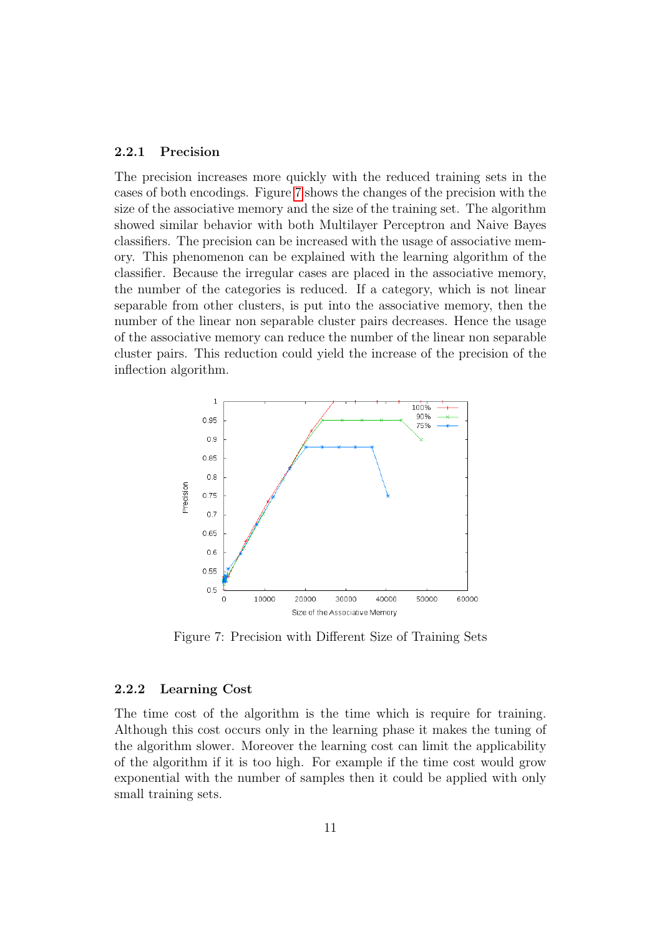#### <span id="page-12-0"></span>2.2.1 Precision

The precision increases more quickly with the reduced training sets in the cases of both encodings. Figure [7](#page-12-2) shows the changes of the precision with the size of the associative memory and the size of the training set. The algorithm showed similar behavior with both Multilayer Perceptron and Naive Bayes classifiers. The precision can be increased with the usage of associative memory. This phenomenon can be explained with the learning algorithm of the classifier. Because the irregular cases are placed in the associative memory, the number of the categories is reduced. If a category, which is not linear separable from other clusters, is put into the associative memory, then the number of the linear non separable cluster pairs decreases. Hence the usage of the associative memory can reduce the number of the linear non separable cluster pairs. This reduction could yield the increase of the precision of the inflection algorithm.

<span id="page-12-2"></span>

Figure 7: Precision with Different Size of Training Sets

#### <span id="page-12-1"></span>2.2.2 Learning Cost

The time cost of the algorithm is the time which is require for training. Although this cost occurs only in the learning phase it makes the tuning of the algorithm slower. Moreover the learning cost can limit the applicability of the algorithm if it is too high. For example if the time cost would grow exponential with the number of samples then it could be applied with only small training sets.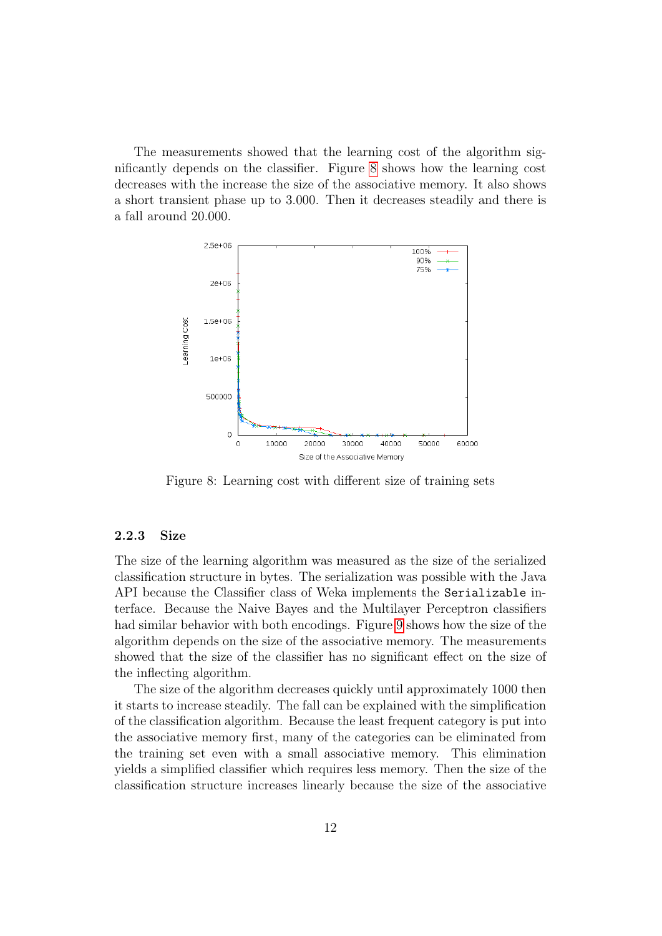The measurements showed that the learning cost of the algorithm significantly depends on the classifier. Figure [8](#page-13-1) shows how the learning cost decreases with the increase the size of the associative memory. It also shows a short transient phase up to 3.000. Then it decreases steadily and there is a fall around 20.000.

<span id="page-13-1"></span>

Figure 8: Learning cost with different size of training sets

#### <span id="page-13-0"></span>2.2.3 Size

The size of the learning algorithm was measured as the size of the serialized classification structure in bytes. The serialization was possible with the Java API because the Classifier class of Weka implements the Serializable interface. Because the Naive Bayes and the Multilayer Perceptron classifiers had similar behavior with both encodings. Figure [9](#page-14-0) shows how the size of the algorithm depends on the size of the associative memory. The measurements showed that the size of the classifier has no significant effect on the size of the inflecting algorithm.

The size of the algorithm decreases quickly until approximately 1000 then it starts to increase steadily. The fall can be explained with the simplification of the classification algorithm. Because the least frequent category is put into the associative memory first, many of the categories can be eliminated from the training set even with a small associative memory. This elimination yields a simplified classifier which requires less memory. Then the size of the classification structure increases linearly because the size of the associative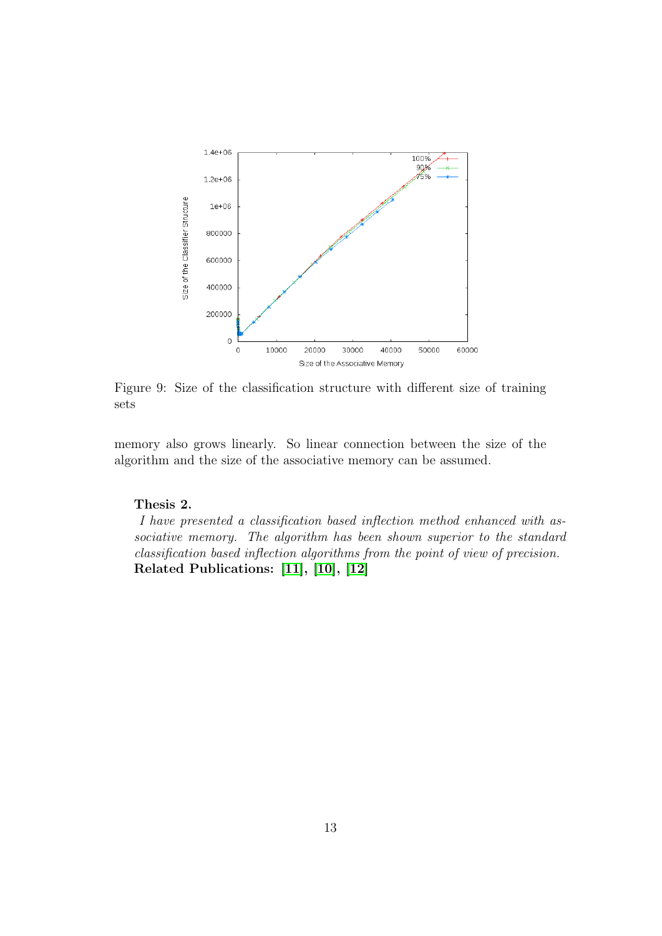<span id="page-14-0"></span>

Figure 9: Size of the classification structure with different size of training sets

memory also grows linearly. So linear connection between the size of the algorithm and the size of the associative memory can be assumed.

#### Thesis 2.

I have presented a classification based inflection method enhanced with associative memory. The algorithm has been shown superior to the standard classification based inflection algorithms from the point of view of precision. Related Publications: [\[11\]](#page-23-2), [\[10\]](#page-23-3), [\[12\]](#page-23-4)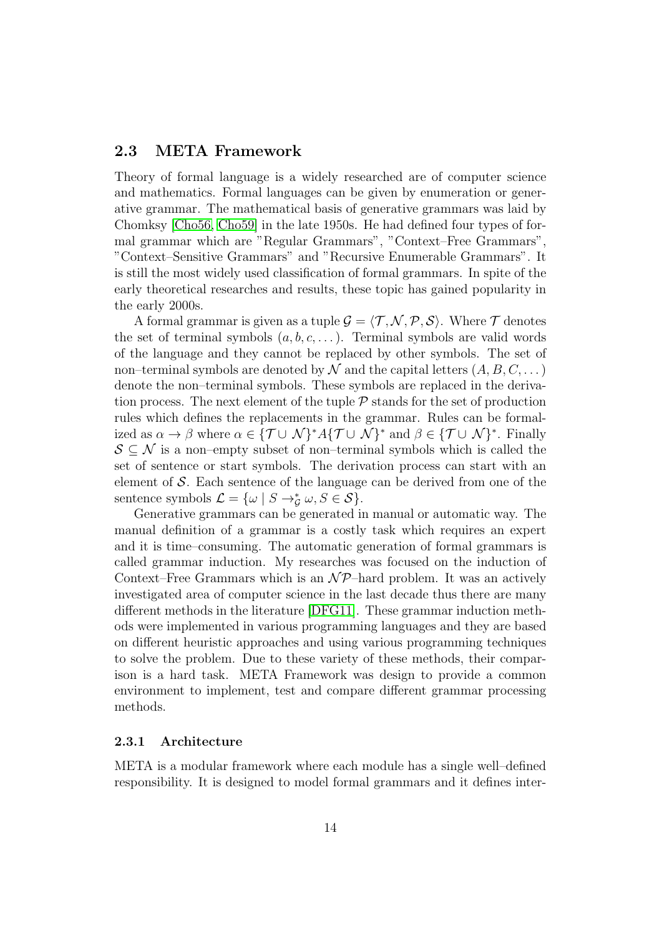### <span id="page-15-0"></span>2.3 META Framework

Theory of formal language is a widely researched are of computer science and mathematics. Formal languages can be given by enumeration or generative grammar. The mathematical basis of generative grammars was laid by Chomksy [\[Cho56,](#page-20-2) [Cho59\]](#page-20-3) in the late 1950s. He had defined four types of formal grammar which are "Regular Grammars", "Context–Free Grammars", "Context–Sensitive Grammars" and "Recursive Enumerable Grammars". It is still the most widely used classification of formal grammars. In spite of the early theoretical researches and results, these topic has gained popularity in the early 2000s.

A formal grammar is given as a tuple  $\mathcal{G} = \langle \mathcal{T}, \mathcal{N}, \mathcal{P}, \mathcal{S} \rangle$ . Where  $\mathcal{T}$  denotes the set of terminal symbols  $(a, b, c, \dots)$ . Terminal symbols are valid words of the language and they cannot be replaced by other symbols. The set of non–terminal symbols are denoted by  $\mathcal N$  and the capital letters  $(A, B, C, \dots)$ denote the non–terminal symbols. These symbols are replaced in the derivation process. The next element of the tuple  $P$  stands for the set of production rules which defines the replacements in the grammar. Rules can be formalized as  $\alpha \to \beta$  where  $\alpha \in {\mathcal{T}} \cup \mathcal{N}^* A {\mathcal{T}} \cup \mathcal{N}^*$  and  $\beta \in {\mathcal{T}} \cup \mathcal{N}^*$ . Finally  $S \subseteq \mathcal{N}$  is a non–empty subset of non–terminal symbols which is called the set of sentence or start symbols. The derivation process can start with an element of S. Each sentence of the language can be derived from one of the sentence symbols  $\mathcal{L} = {\omega \mid S \to_{\mathcal{G}}^* \omega, S \in \mathcal{S}}.$ 

Generative grammars can be generated in manual or automatic way. The manual definition of a grammar is a costly task which requires an expert and it is time–consuming. The automatic generation of formal grammars is called grammar induction. My researches was focused on the induction of Context–Free Grammars which is an  $\mathcal{NP}$ –hard problem. It was an actively investigated area of computer science in the last decade thus there are many different methods in the literature [\[DFG11\]](#page-20-14). These grammar induction methods were implemented in various programming languages and they are based on different heuristic approaches and using various programming techniques to solve the problem. Due to these variety of these methods, their comparison is a hard task. META Framework was design to provide a common environment to implement, test and compare different grammar processing methods.

#### <span id="page-15-1"></span>2.3.1 Architecture

META is a modular framework where each module has a single well–defined responsibility. It is designed to model formal grammars and it defines inter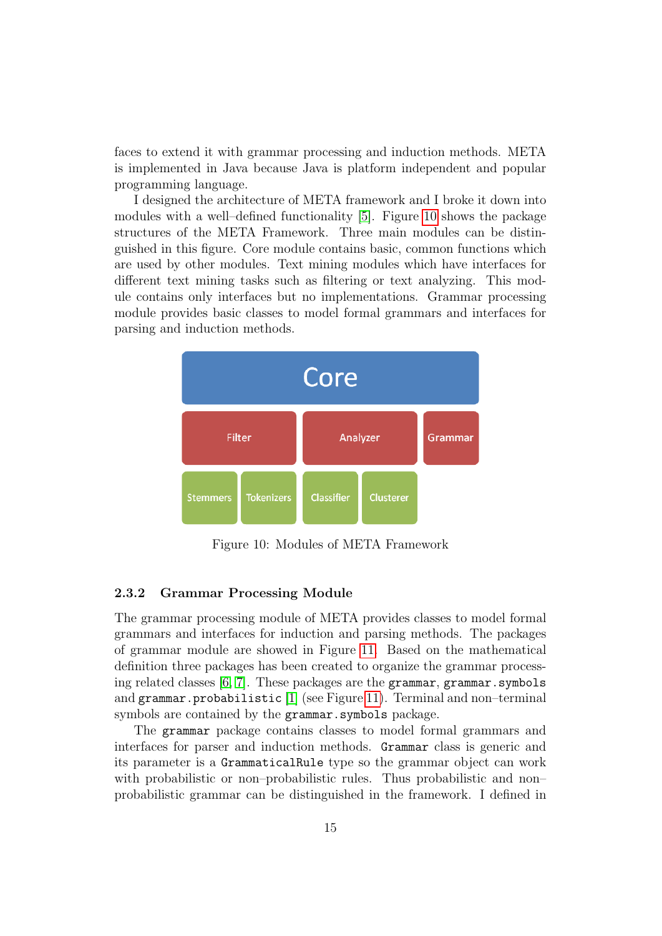faces to extend it with grammar processing and induction methods. META is implemented in Java because Java is platform independent and popular programming language.

I designed the architecture of META framework and I broke it down into modules with a well–defined functionality [\[5\]](#page-23-5). Figure [10](#page-16-1) shows the package structures of the META Framework. Three main modules can be distinguished in this figure. Core module contains basic, common functions which are used by other modules. Text mining modules which have interfaces for different text mining tasks such as filtering or text analyzing. This module contains only interfaces but no implementations. Grammar processing module provides basic classes to model formal grammars and interfaces for parsing and induction methods.

<span id="page-16-1"></span>

Figure 10: Modules of META Framework

#### <span id="page-16-0"></span>2.3.2 Grammar Processing Module

The grammar processing module of META provides classes to model formal grammars and interfaces for induction and parsing methods. The packages of grammar module are showed in Figure [11.](#page-17-0) Based on the mathematical definition three packages has been created to organize the grammar processing related classes [\[6,](#page-23-6) [7\]](#page-23-7). These packages are the grammar, grammar.symbols and grammar.probabilistic [\[1\]](#page-23-8) (see Figure [11\)](#page-17-0). Terminal and non–terminal symbols are contained by the grammar.symbols package.

The grammar package contains classes to model formal grammars and interfaces for parser and induction methods. Grammar class is generic and its parameter is a GrammaticalRule type so the grammar object can work with probabilistic or non–probabilistic rules. Thus probabilistic and non– probabilistic grammar can be distinguished in the framework. I defined in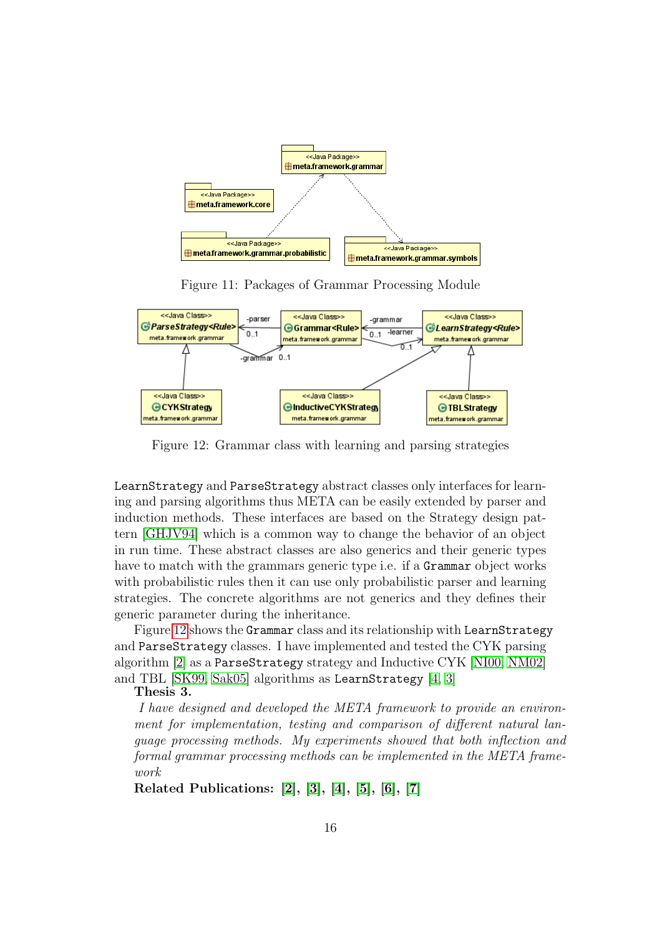<span id="page-17-0"></span>

Figure 11: Packages of Grammar Processing Module

<span id="page-17-1"></span>

Figure 12: Grammar class with learning and parsing strategies

LearnStrategy and ParseStrategy abstract classes only interfaces for learning and parsing algorithms thus META can be easily extended by parser and induction methods. These interfaces are based on the Strategy design pattern [\[GHJV94\]](#page-20-15) which is a common way to change the behavior of an object in run time. These abstract classes are also generics and their generic types have to match with the grammars generic type i.e. if a Grammar object works with probabilistic rules then it can use only probabilistic parser and learning strategies. The concrete algorithms are not generics and they defines their generic parameter during the inheritance.

Figure [12](#page-17-1) shows the Grammar class and its relationship with LearnStrategy and ParseStrategy classes. I have implemented and tested the CYK parsing algorithm [\[2\]](#page-23-9) as a ParseStrategy strategy and Inductive CYK [\[NI00,](#page-21-9) [NM02\]](#page-21-10) and TBL [\[SK99,](#page-22-1) [Sak05\]](#page-21-7) algorithms as LearnStrategy [\[4,](#page-23-10) [3\]](#page-23-11)

#### Thesis 3.

I have designed and developed the META framework to provide an environment for implementation, testing and comparison of different natural language processing methods. My experiments showed that both inflection and formal grammar processing methods can be implemented in the META framework

Related Publications: [\[2\]](#page-23-9), [\[3\]](#page-23-11), [\[4\]](#page-23-10), [\[5\]](#page-23-5), [\[6\]](#page-23-6), [\[7\]](#page-23-7)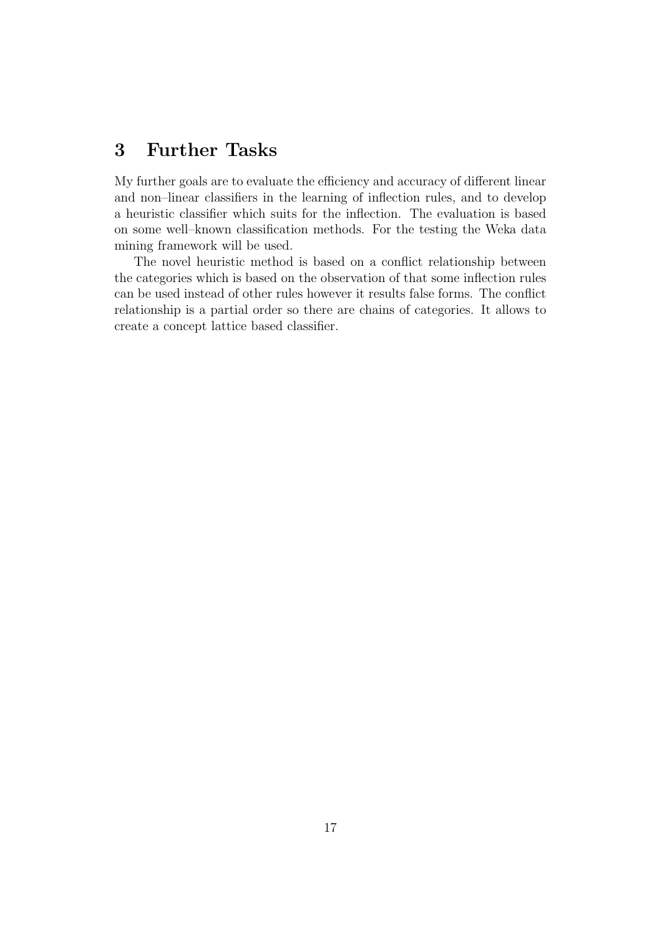# <span id="page-18-0"></span>3 Further Tasks

My further goals are to evaluate the efficiency and accuracy of different linear and non–linear classifiers in the learning of inflection rules, and to develop a heuristic classifier which suits for the inflection. The evaluation is based on some well–known classification methods. For the testing the Weka data mining framework will be used.

The novel heuristic method is based on a conflict relationship between the categories which is based on the observation of that some inflection rules can be used instead of other rules however it results false forms. The conflict relationship is a partial order so there are chains of categories. It allows to create a concept lattice based classifier.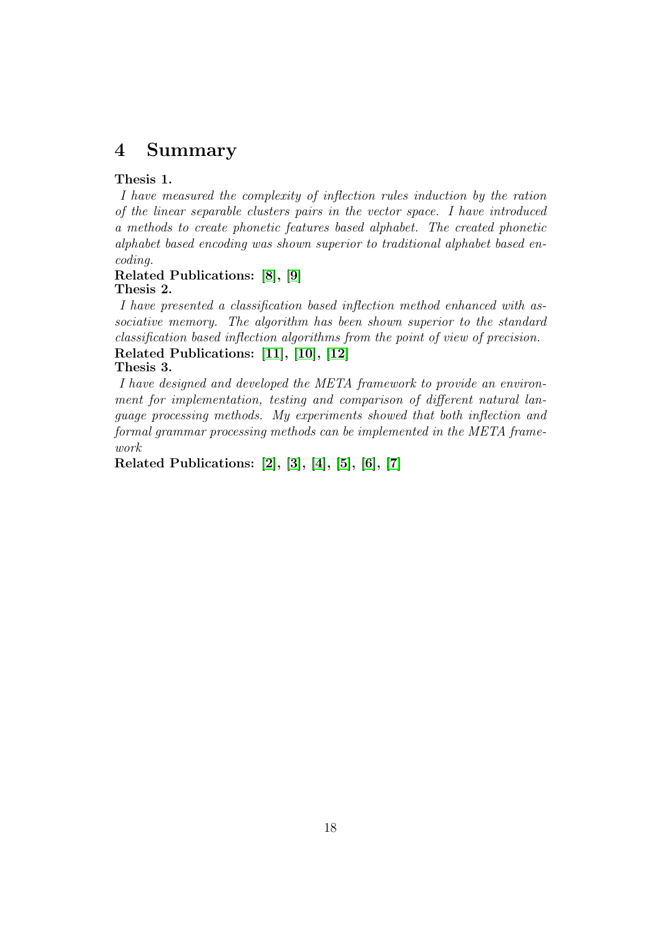# <span id="page-19-0"></span>4 Summary

#### Thesis 1.

I have measured the complexity of inflection rules induction by the ration of the linear separable clusters pairs in the vector space. I have introduced a methods to create phonetic features based alphabet. The created phonetic alphabet based encoding was shown superior to traditional alphabet based encoding.

#### Related Publications: [\[8\]](#page-23-0), [\[9\]](#page-23-1) Thesis 2.

I have presented a classification based inflection method enhanced with associative memory. The algorithm has been shown superior to the standard classification based inflection algorithms from the point of view of precision. Related Publications: [\[11\]](#page-23-2), [\[10\]](#page-23-3), [\[12\]](#page-23-4)

#### Thesis 3.

I have designed and developed the META framework to provide an environment for implementation, testing and comparison of different natural language processing methods. My experiments showed that both inflection and formal grammar processing methods can be implemented in the META framework

Related Publications: [\[2\]](#page-23-9), [\[3\]](#page-23-11), [\[4\]](#page-23-10), [\[5\]](#page-23-5), [\[6\]](#page-23-6), [\[7\]](#page-23-7)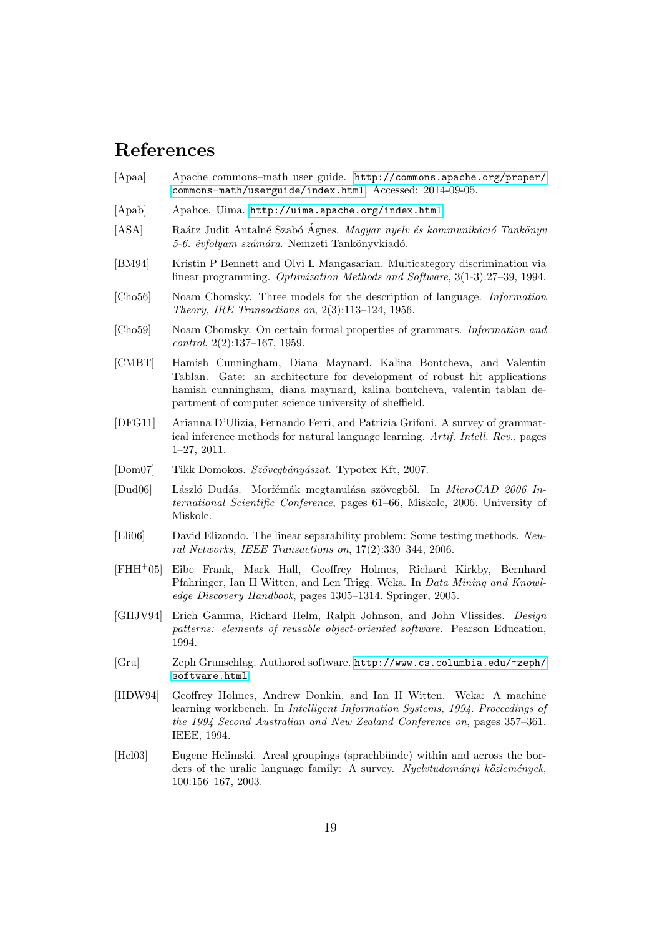# References

- <span id="page-20-12"></span>[Apaa] Apache commons–math user guide. [http://commons.apache.org/proper/](http://commons.apache.org/proper/commons-math/userguide/index.html) [commons-math/userguide/index.html](http://commons.apache.org/proper/commons-math/userguide/index.html). Accessed: 2014-09-05.
- <span id="page-20-6"></span>[Apab] Apahce. Uima. <http://uima.apache.org/index.html>.
- <span id="page-20-9"></span>[ASA] Raátz Judit Antalné Szabó Ágnes. Magyar nyelv és kommunikáció Tankönyv 5-6. évfolyam számára. Nemzeti Tankönyvkiadó.
- <span id="page-20-11"></span>[BM94] Kristin P Bennett and Olvi L Mangasarian. Multicategory discrimination via linear programming. Optimization Methods and Software, 3(1-3):27–39, 1994.
- <span id="page-20-2"></span>[Cho56] Noam Chomsky. Three models for the description of language. Information Theory, IRE Transactions on, 2(3):113–124, 1956.
- <span id="page-20-3"></span>[Cho59] Noam Chomsky. On certain formal properties of grammars. Information and control, 2(2):137–167, 1959.
- <span id="page-20-13"></span>[CMBT] Hamish Cunningham, Diana Maynard, Kalina Bontcheva, and Valentin Tablan. Gate: an architecture for development of robust hlt applications hamish cunningham, diana maynard, kalina bontcheva, valentin tablan department of computer science university of sheffield.
- <span id="page-20-14"></span>[DFG11] Arianna D'Ulizia, Fernando Ferri, and Patrizia Grifoni. A survey of grammatical inference methods for natural language learning. Artif. Intell. Rev., pages 1–27, 2011.
- <span id="page-20-8"></span>[Dom07] Tikk Domokos. Szövegbányászat. Typotex Kft, 2007.
- <span id="page-20-1"></span>[Dud06] László Dudás. Morfémák megtanulása szövegből. In  $MicroCAD$  2006 International Scientific Conference, pages 61–66, Miskolc, 2006. University of Miskolc.
- <span id="page-20-10"></span>[Eli06] David Elizondo. The linear separability problem: Some testing methods. Neural Networks, IEEE Transactions on, 17(2):330–344, 2006.
- <span id="page-20-5"></span>[FHH+05] Eibe Frank, Mark Hall, Geoffrey Holmes, Richard Kirkby, Bernhard Pfahringer, Ian H Witten, and Len Trigg. Weka. In Data Mining and Knowledge Discovery Handbook, pages 1305–1314. Springer, 2005.
- <span id="page-20-15"></span>[GHJV94] Erich Gamma, Richard Helm, Ralph Johnson, and John Vlissides. Design patterns: elements of reusable object-oriented software. Pearson Education, 1994.
- <span id="page-20-7"></span>[Gru] Zeph Grunschlag. Authored software. [http://www.cs.columbia.edu/~zeph/](http://www.cs.columbia.edu/~zeph/software.html) [software.html](http://www.cs.columbia.edu/~zeph/software.html).
- <span id="page-20-4"></span>[HDW94] Geoffrey Holmes, Andrew Donkin, and Ian H Witten. Weka: A machine learning workbench. In Intelligent Information Systems, 1994. Proceedings of the 1994 Second Australian and New Zealand Conference on, pages 357–361. IEEE, 1994.
- <span id="page-20-0"></span>[Hel03] Eugene Helimski. Areal groupings (sprachbünde) within and across the borders of the uralic language family: A survey. Nyelvtudományi közlemények, 100:156–167, 2003.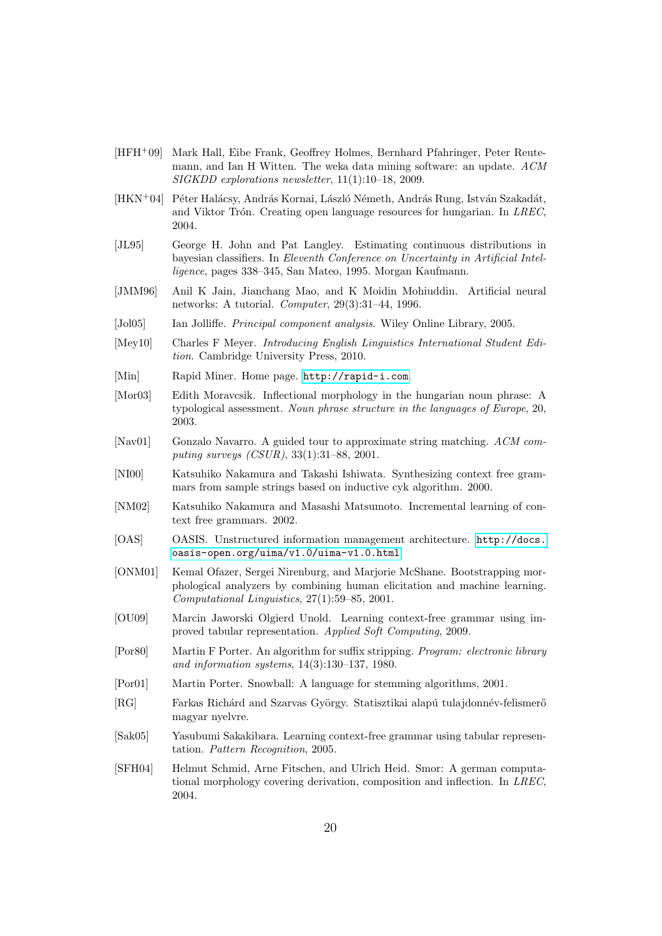- <span id="page-21-4"></span>[HFH+09] Mark Hall, Eibe Frank, Geoffrey Holmes, Bernhard Pfahringer, Peter Reutemann, and Ian H Witten. The weka data mining software: an update. ACM SIGKDD explorations newsletter, 11(1):10–18, 2009.
- <span id="page-21-2"></span>[HKN<sup>+</sup>04] Péter Halácsy, András Kornai, László Németh, András Rung, István Szakadát, and Viktor Trón. Creating open language resources for hungarian. In  $LREC$ , 2004.
- <span id="page-21-14"></span>[JL95] George H. John and Pat Langley. Estimating continuous distributions in bayesian classifiers. In Eleventh Conference on Uncertainty in Artificial Intelligence, pages 338–345, San Mateo, 1995. Morgan Kaufmann.
- <span id="page-21-18"></span>[JMM96] Anil K Jain, Jianchang Mao, and K Moidin Mohiuddin. Artificial neural networks: A tutorial. Computer, 29(3):31–44, 1996.
- <span id="page-21-13"></span>[Jol05] Ian Jolliffe. *Principal component analysis*. Wiley Online Library, 2005.
- <span id="page-21-0"></span>[Mey10] Charles F Meyer. Introducing English Linguistics International Student Edition. Cambridge University Press, 2010.
- <span id="page-21-5"></span>[Min] Rapid Miner. Home page. <http://rapid-i.com>.
- <span id="page-21-1"></span>[Mor03] Edith Moravcsik. Inflectional morphology in the hungarian noun phrase: A typological assessment. Noun phrase structure in the languages of Europe, 20, 2003.
- <span id="page-21-17"></span>[Nav01] Gonzalo Navarro. A guided tour to approximate string matching. ACM computing surveys (CSUR), 33(1):31–88, 2001.
- <span id="page-21-9"></span>[NI00] Katsuhiko Nakamura and Takashi Ishiwata. Synthesizing context free grammars from sample strings based on inductive cyk algorithm. 2000.
- <span id="page-21-10"></span>[NM02] Katsuhiko Nakamura and Masashi Matsumoto. Incremental learning of context free grammars. 2002.
- <span id="page-21-6"></span>[OAS] OASIS. Unstructured information management architecture. [http://docs.](http://docs.oasis-open.org/uima/v1.0/uima-v1.0.html) [oasis-open.org/uima/v1.0/uima-v1.0.html](http://docs.oasis-open.org/uima/v1.0/uima-v1.0.html).
- <span id="page-21-12"></span>[ONM01] Kemal Ofazer, Sergei Nirenburg, and Marjorie McShane. Bootstrapping morphological analyzers by combining human elicitation and machine learning. Computational Linguistics, 27(1):59–85, 2001.
- <span id="page-21-8"></span>[OU09] Marcin Jaworski Olgierd Unold. Learning context-free grammar using improved tabular representation. Applied Soft Computing, 2009.
- <span id="page-21-15"></span>[Por80] Martin F Porter. An algorithm for suffix stripping. Program: electronic library and information systems, 14(3):130–137, 1980.
- <span id="page-21-11"></span>[Por01] Martin Porter. Snowball: A language for stemming algorithms, 2001.
- <span id="page-21-3"></span>[RG] Farkas Richárd and Szarvas György. Statisztikai alapú tulajdonnév-felismerő magyar nyelvre.
- <span id="page-21-7"></span>[Sak05] Yasubumi Sakakibara. Learning context-free grammar using tabular representation. Pattern Recognition, 2005.
- <span id="page-21-16"></span>[SFH04] Helmut Schmid, Arne Fitschen, and Ulrich Heid. Smor: A german computational morphology covering derivation, composition and inflection. In LREC, 2004.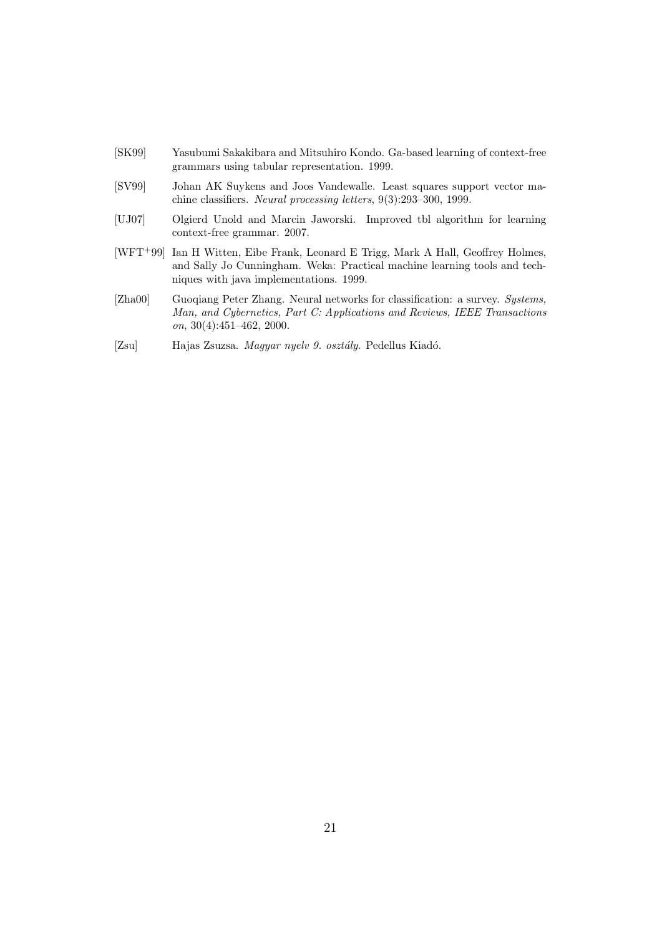- <span id="page-22-1"></span>[SK99] Yasubumi Sakakibara and Mitsuhiro Kondo. Ga-based learning of context-free grammars using tabular representation. 1999.
- <span id="page-22-5"></span>[SV99] Johan AK Suykens and Joos Vandewalle. Least squares support vector machine classifiers. Neural processing letters, 9(3):293–300, 1999.
- <span id="page-22-2"></span>[UJ07] Olgierd Unold and Marcin Jaworski. Improved tbl algorithm for learning context-free grammar. 2007.
- <span id="page-22-0"></span>[WFT+99] Ian H Witten, Eibe Frank, Leonard E Trigg, Mark A Hall, Geoffrey Holmes, and Sally Jo Cunningham. Weka: Practical machine learning tools and techniques with java implementations. 1999.
- <span id="page-22-4"></span>[Zha00] Guoqiang Peter Zhang. Neural networks for classification: a survey. Systems, Man, and Cybernetics, Part C: Applications and Reviews, IEEE Transactions on, 30(4):451–462, 2000.
- <span id="page-22-3"></span>[Zsu] Hajas Zsuzsa. Magyar nyelv 9. osztály. Pedellus Kiadó.